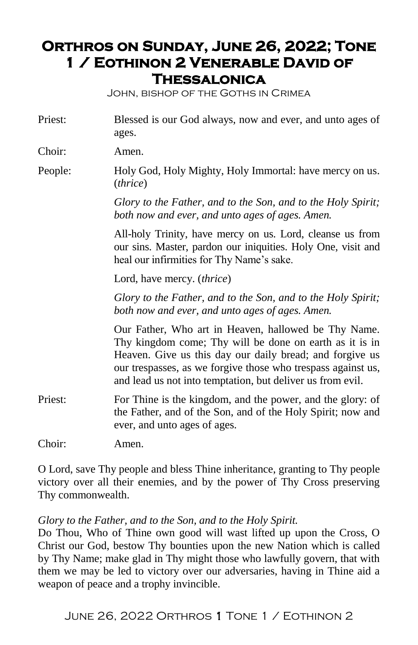# **Orthros on Sunday, June 26, 2022; Tone 1 / Eothinon 2 Venerable David of Thessalonica**

John, bishop of the Goths in Crimea

| Priest: | Blessed is our God always, now and ever, and unto ages of<br>ages.                                                                                                                                                                                                                                        |
|---------|-----------------------------------------------------------------------------------------------------------------------------------------------------------------------------------------------------------------------------------------------------------------------------------------------------------|
| Choir:  | Amen.                                                                                                                                                                                                                                                                                                     |
| People: | Holy God, Holy Mighty, Holy Immortal: have mercy on us.<br>(thrice)                                                                                                                                                                                                                                       |
|         | Glory to the Father, and to the Son, and to the Holy Spirit;<br>both now and ever, and unto ages of ages. Amen.                                                                                                                                                                                           |
|         | All-holy Trinity, have mercy on us. Lord, cleanse us from<br>our sins. Master, pardon our iniquities. Holy One, visit and<br>heal our infirmities for Thy Name's sake.                                                                                                                                    |
|         | Lord, have mercy. <i>(thrice)</i>                                                                                                                                                                                                                                                                         |
|         | Glory to the Father, and to the Son, and to the Holy Spirit;<br>both now and ever, and unto ages of ages. Amen.                                                                                                                                                                                           |
|         | Our Father, Who art in Heaven, hallowed be Thy Name.<br>Thy kingdom come; Thy will be done on earth as it is in<br>Heaven. Give us this day our daily bread; and forgive us<br>our trespasses, as we forgive those who trespass against us,<br>and lead us not into temptation, but deliver us from evil. |
| Priest: | For Thine is the kingdom, and the power, and the glory: of<br>the Father, and of the Son, and of the Holy Spirit; now and<br>ever, and unto ages of ages.                                                                                                                                                 |
| Choir:  | Amen.                                                                                                                                                                                                                                                                                                     |

O Lord, save Thy people and bless Thine inheritance, granting to Thy people victory over all their enemies, and by the power of Thy Cross preserving Thy commonwealth.

#### *Glory to the Father, and to the Son, and to the Holy Spirit.*

Do Thou, Who of Thine own good will wast lifted up upon the Cross, O Christ our God, bestow Thy bounties upon the new Nation which is called by Thy Name; make glad in Thy might those who lawfully govern, that with them we may be led to victory over our adversaries, having in Thine aid a weapon of peace and a trophy invincible.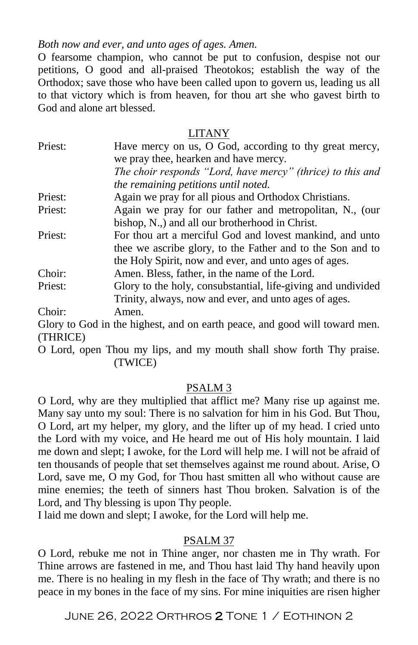*Both now and ever, and unto ages of ages. Amen.*

O fearsome champion, who cannot be put to confusion, despise not our petitions, O good and all-praised Theotokos; establish the way of the Orthodox; save those who have been called upon to govern us, leading us all to that victory which is from heaven, for thou art she who gavest birth to God and alone art blessed.

#### LITANY

| Priest: | Have mercy on us, O God, according to thy great mercy,                                                                                                                                                                                                                                                                         |
|---------|--------------------------------------------------------------------------------------------------------------------------------------------------------------------------------------------------------------------------------------------------------------------------------------------------------------------------------|
|         | we pray thee, hearken and have mercy.                                                                                                                                                                                                                                                                                          |
|         | The choir responds "Lord, have mercy" (thrice) to this and                                                                                                                                                                                                                                                                     |
|         | the remaining petitions until noted.                                                                                                                                                                                                                                                                                           |
| Priest: | Again we pray for all pious and Orthodox Christians.                                                                                                                                                                                                                                                                           |
| Priest: | Again we pray for our father and metropolitan, N., (our                                                                                                                                                                                                                                                                        |
|         | bishop, N., and all our brotherhood in Christ.                                                                                                                                                                                                                                                                                 |
| Priest: | For thou art a merciful God and lovest mankind, and unto                                                                                                                                                                                                                                                                       |
|         | thee we ascribe glory, to the Father and to the Son and to                                                                                                                                                                                                                                                                     |
|         | the Holy Spirit, now and ever, and unto ages of ages.                                                                                                                                                                                                                                                                          |
| Choir:  | Amen. Bless, father, in the name of the Lord.                                                                                                                                                                                                                                                                                  |
| Priest: | Glory to the holy, consubstantial, life-giving and undivided                                                                                                                                                                                                                                                                   |
|         | Trinity, always, now and ever, and unto ages of ages.                                                                                                                                                                                                                                                                          |
| Choir:  | Amen.                                                                                                                                                                                                                                                                                                                          |
|         | $\bigcap_{i=1}^{n}$ $\bigcap_{i=1}^{n}$ $\bigcap_{i=1}^{n}$ $\bigcap_{i=1}^{n}$ $\bigcap_{i=1}^{n}$ $\bigcap_{i=1}^{n}$ $\bigcap_{i=1}^{n}$ $\bigcap_{i=1}^{n}$ $\bigcap_{i=1}^{n}$ $\bigcap_{i=1}^{n}$ $\bigcap_{i=1}^{n}$ $\bigcap_{i=1}^{n}$ $\bigcap_{i=1}^{n}$ $\bigcap_{i=1}^{n}$ $\bigcap_{i=1}^{n}$ $\bigcap_{i=1}^{n$ |

Glory to God in the highest, and on earth peace, and good will toward men. (THRICE)

O Lord, open Thou my lips, and my mouth shall show forth Thy praise. (TWICE)

#### PSALM 3

O Lord, why are they multiplied that afflict me? Many rise up against me. Many say unto my soul: There is no salvation for him in his God. But Thou, O Lord, art my helper, my glory, and the lifter up of my head. I cried unto the Lord with my voice, and He heard me out of His holy mountain. I laid me down and slept; I awoke, for the Lord will help me. I will not be afraid of ten thousands of people that set themselves against me round about. Arise, O Lord, save me, O my God, for Thou hast smitten all who without cause are mine enemies; the teeth of sinners hast Thou broken. Salvation is of the Lord, and Thy blessing is upon Thy people.

I laid me down and slept; I awoke, for the Lord will help me.

#### PSALM 37

O Lord, rebuke me not in Thine anger, nor chasten me in Thy wrath. For Thine arrows are fastened in me, and Thou hast laid Thy hand heavily upon me. There is no healing in my flesh in the face of Thy wrath; and there is no peace in my bones in the face of my sins. For mine iniquities are risen higher

June 26, 2022 Orthros 2 Tone 1 / Eothinon 2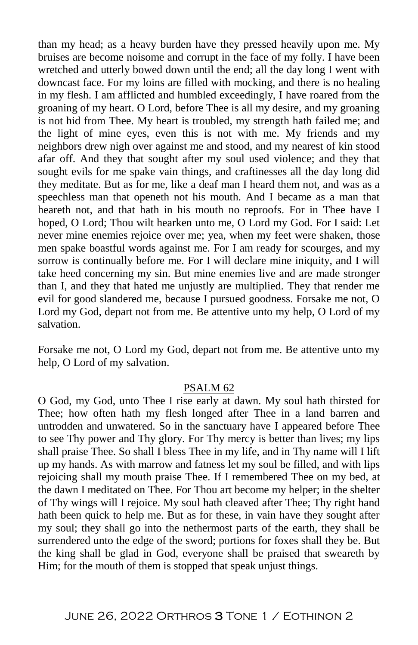than my head; as a heavy burden have they pressed heavily upon me. My bruises are become noisome and corrupt in the face of my folly. I have been wretched and utterly bowed down until the end; all the day long I went with downcast face. For my loins are filled with mocking, and there is no healing in my flesh. I am afflicted and humbled exceedingly, I have roared from the groaning of my heart. O Lord, before Thee is all my desire, and my groaning is not hid from Thee. My heart is troubled, my strength hath failed me; and the light of mine eyes, even this is not with me. My friends and my neighbors drew nigh over against me and stood, and my nearest of kin stood afar off. And they that sought after my soul used violence; and they that sought evils for me spake vain things, and craftinesses all the day long did they meditate. But as for me, like a deaf man I heard them not, and was as a speechless man that openeth not his mouth. And I became as a man that heareth not, and that hath in his mouth no reproofs. For in Thee have I hoped, O Lord; Thou wilt hearken unto me, O Lord my God. For I said: Let never mine enemies rejoice over me; yea, when my feet were shaken, those men spake boastful words against me. For I am ready for scourges, and my sorrow is continually before me. For I will declare mine iniquity, and I will take heed concerning my sin. But mine enemies live and are made stronger than I, and they that hated me unjustly are multiplied. They that render me evil for good slandered me, because I pursued goodness. Forsake me not, O Lord my God, depart not from me. Be attentive unto my help, O Lord of my salvation.

Forsake me not, O Lord my God, depart not from me. Be attentive unto my help, O Lord of my salvation.

#### PSALM 62

O God, my God, unto Thee I rise early at dawn. My soul hath thirsted for Thee; how often hath my flesh longed after Thee in a land barren and untrodden and unwatered. So in the sanctuary have I appeared before Thee to see Thy power and Thy glory. For Thy mercy is better than lives; my lips shall praise Thee. So shall I bless Thee in my life, and in Thy name will I lift up my hands. As with marrow and fatness let my soul be filled, and with lips rejoicing shall my mouth praise Thee. If I remembered Thee on my bed, at the dawn I meditated on Thee. For Thou art become my helper; in the shelter of Thy wings will I rejoice. My soul hath cleaved after Thee; Thy right hand hath been quick to help me. But as for these, in vain have they sought after my soul; they shall go into the nethermost parts of the earth, they shall be surrendered unto the edge of the sword; portions for foxes shall they be. But the king shall be glad in God, everyone shall be praised that sweareth by Him; for the mouth of them is stopped that speak unjust things.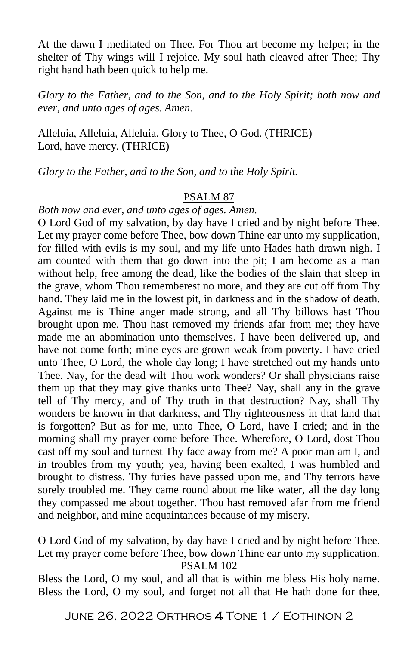At the dawn I meditated on Thee. For Thou art become my helper; in the shelter of Thy wings will I rejoice. My soul hath cleaved after Thee; Thy right hand hath been quick to help me.

*Glory to the Father, and to the Son, and to the Holy Spirit; both now and ever, and unto ages of ages. Amen.*

Alleluia, Alleluia, Alleluia. Glory to Thee, O God. (THRICE) Lord, have mercy. (THRICE)

*Glory to the Father, and to the Son, and to the Holy Spirit.*

#### PSALM 87

*Both now and ever, and unto ages of ages. Amen.*

O Lord God of my salvation, by day have I cried and by night before Thee. Let my prayer come before Thee, bow down Thine ear unto my supplication, for filled with evils is my soul, and my life unto Hades hath drawn nigh. I am counted with them that go down into the pit; I am become as a man without help, free among the dead, like the bodies of the slain that sleep in the grave, whom Thou rememberest no more, and they are cut off from Thy hand. They laid me in the lowest pit, in darkness and in the shadow of death. Against me is Thine anger made strong, and all Thy billows hast Thou brought upon me. Thou hast removed my friends afar from me; they have made me an abomination unto themselves. I have been delivered up, and have not come forth; mine eyes are grown weak from poverty. I have cried unto Thee, O Lord, the whole day long; I have stretched out my hands unto Thee. Nay, for the dead wilt Thou work wonders? Or shall physicians raise them up that they may give thanks unto Thee? Nay, shall any in the grave tell of Thy mercy, and of Thy truth in that destruction? Nay, shall Thy wonders be known in that darkness, and Thy righteousness in that land that is forgotten? But as for me, unto Thee, O Lord, have I cried; and in the morning shall my prayer come before Thee. Wherefore, O Lord, dost Thou cast off my soul and turnest Thy face away from me? A poor man am I, and in troubles from my youth; yea, having been exalted, I was humbled and brought to distress. Thy furies have passed upon me, and Thy terrors have sorely troubled me. They came round about me like water, all the day long they compassed me about together. Thou hast removed afar from me friend and neighbor, and mine acquaintances because of my misery.

O Lord God of my salvation, by day have I cried and by night before Thee. Let my prayer come before Thee, bow down Thine ear unto my supplication. PSALM 102

Bless the Lord, O my soul, and all that is within me bless His holy name. Bless the Lord, O my soul, and forget not all that He hath done for thee,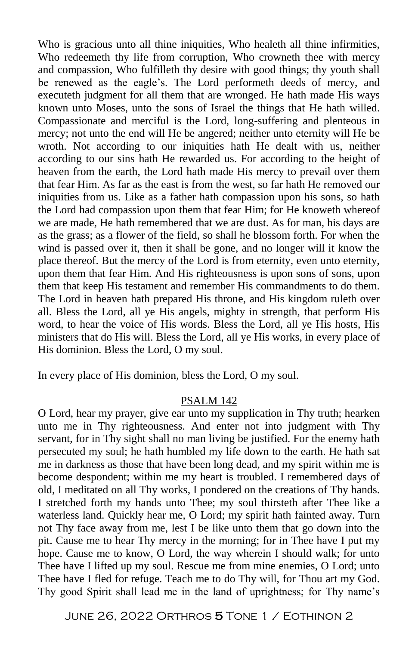Who is gracious unto all thine iniquities, Who healeth all thine infirmities, Who redeemeth thy life from corruption, Who crowneth thee with mercy and compassion, Who fulfilleth thy desire with good things; thy youth shall be renewed as the eagle's. The Lord performeth deeds of mercy, and executeth judgment for all them that are wronged. He hath made His ways known unto Moses, unto the sons of Israel the things that He hath willed. Compassionate and merciful is the Lord, long-suffering and plenteous in mercy; not unto the end will He be angered; neither unto eternity will He be wroth. Not according to our iniquities hath He dealt with us, neither according to our sins hath He rewarded us. For according to the height of heaven from the earth, the Lord hath made His mercy to prevail over them that fear Him. As far as the east is from the west, so far hath He removed our iniquities from us. Like as a father hath compassion upon his sons, so hath the Lord had compassion upon them that fear Him; for He knoweth whereof we are made, He hath remembered that we are dust. As for man, his days are as the grass; as a flower of the field, so shall he blossom forth. For when the wind is passed over it, then it shall be gone, and no longer will it know the place thereof. But the mercy of the Lord is from eternity, even unto eternity, upon them that fear Him. And His righteousness is upon sons of sons, upon them that keep His testament and remember His commandments to do them. The Lord in heaven hath prepared His throne, and His kingdom ruleth over all. Bless the Lord, all ye His angels, mighty in strength, that perform His word, to hear the voice of His words. Bless the Lord, all ye His hosts, His ministers that do His will. Bless the Lord, all ye His works, in every place of His dominion. Bless the Lord, O my soul.

In every place of His dominion, bless the Lord, O my soul.

#### PSALM 142

O Lord, hear my prayer, give ear unto my supplication in Thy truth; hearken unto me in Thy righteousness. And enter not into judgment with Thy servant, for in Thy sight shall no man living be justified. For the enemy hath persecuted my soul; he hath humbled my life down to the earth. He hath sat me in darkness as those that have been long dead, and my spirit within me is become despondent; within me my heart is troubled. I remembered days of old, I meditated on all Thy works, I pondered on the creations of Thy hands. I stretched forth my hands unto Thee; my soul thirsteth after Thee like a waterless land. Quickly hear me, O Lord; my spirit hath fainted away. Turn not Thy face away from me, lest I be like unto them that go down into the pit. Cause me to hear Thy mercy in the morning; for in Thee have I put my hope. Cause me to know, O Lord, the way wherein I should walk; for unto Thee have I lifted up my soul. Rescue me from mine enemies, O Lord; unto Thee have I fled for refuge. Teach me to do Thy will, for Thou art my God. Thy good Spirit shall lead me in the land of uprightness; for Thy name's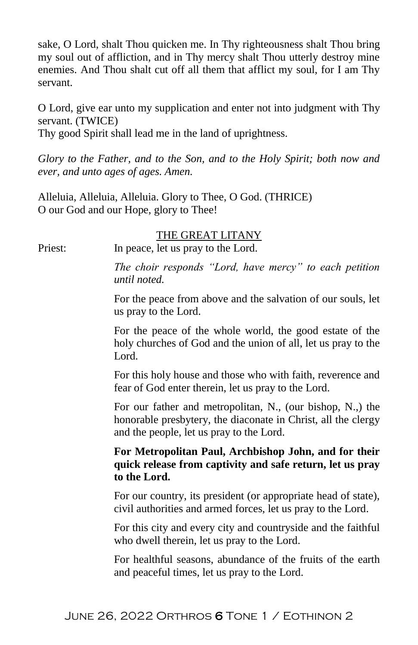sake, O Lord, shalt Thou quicken me. In Thy righteousness shalt Thou bring my soul out of affliction, and in Thy mercy shalt Thou utterly destroy mine enemies. And Thou shalt cut off all them that afflict my soul, for I am Thy servant.

O Lord, give ear unto my supplication and enter not into judgment with Thy servant. (TWICE)

Thy good Spirit shall lead me in the land of uprightness.

*Glory to the Father, and to the Son, and to the Holy Spirit; both now and ever, and unto ages of ages. Amen.*

Alleluia, Alleluia, Alleluia. Glory to Thee, O God. (THRICE) O our God and our Hope, glory to Thee!

# THE GREAT LITANY

Priest: In peace, let us pray to the Lord.

*The choir responds "Lord, have mercy" to each petition until noted.*

For the peace from above and the salvation of our souls, let us pray to the Lord.

For the peace of the whole world, the good estate of the holy churches of God and the union of all, let us pray to the Lord.

For this holy house and those who with faith, reverence and fear of God enter therein, let us pray to the Lord.

For our father and metropolitan, N., (our bishop, N.,) the honorable presbytery, the diaconate in Christ, all the clergy and the people, let us pray to the Lord.

# **For Metropolitan Paul, Archbishop John, and for their quick release from captivity and safe return, let us pray to the Lord.**

For our country, its president (or appropriate head of state), civil authorities and armed forces, let us pray to the Lord.

For this city and every city and countryside and the faithful who dwell therein, let us pray to the Lord.

For healthful seasons, abundance of the fruits of the earth and peaceful times, let us pray to the Lord.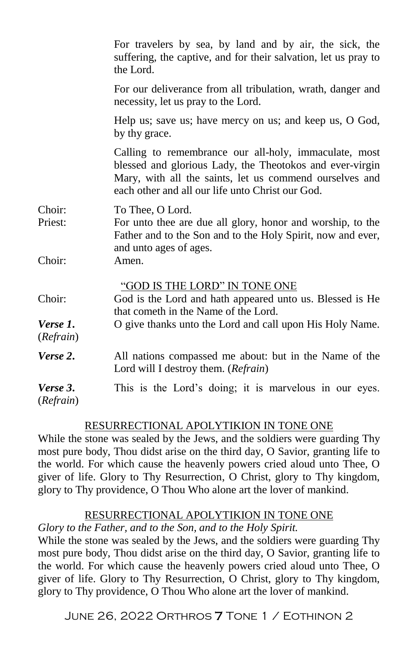| For travelers by sea, by land and by air, the sick, the<br>suffering, the captive, and for their salvation, let us pray to<br>the Lord.                                                                                          |
|----------------------------------------------------------------------------------------------------------------------------------------------------------------------------------------------------------------------------------|
| For our deliverance from all tribulation, wrath, danger and<br>necessity, let us pray to the Lord.                                                                                                                               |
| Help us; save us; have mercy on us; and keep us, O God,<br>by thy grace.                                                                                                                                                         |
| Calling to remembrance our all-holy, immaculate, most<br>blessed and glorious Lady, the Theotokos and ever-virgin<br>Mary, with all the saints, let us commend ourselves and<br>each other and all our life unto Christ our God. |
| To Thee, O Lord.<br>For unto thee are due all glory, honor and worship, to the<br>Father and to the Son and to the Holy Spirit, now and ever,<br>and unto ages of ages.<br>Amen.                                                 |
|                                                                                                                                                                                                                                  |
| "GOD IS THE LORD" IN TONE ONE<br>God is the Lord and hath appeared unto us. Blessed is He<br>that cometh in the Name of the Lord.                                                                                                |
| O give thanks unto the Lord and call upon His Holy Name.                                                                                                                                                                         |
| All nations compassed me about: but in the Name of the<br>Lord will I destroy them. (Refrain)                                                                                                                                    |
| This is the Lord's doing; it is marvelous in our eyes.                                                                                                                                                                           |
|                                                                                                                                                                                                                                  |

# RESURRECTIONAL APOLYTIKION IN TONE ONE

While the stone was sealed by the Jews, and the soldiers were guarding Thy most pure body, Thou didst arise on the third day, O Savior, granting life to the world. For which cause the heavenly powers cried aloud unto Thee, O giver of life. Glory to Thy Resurrection, O Christ, glory to Thy kingdom, glory to Thy providence, O Thou Who alone art the lover of mankind.

# RESURRECTIONAL APOLYTIKION IN TONE ONE

# *Glory to the Father, and to the Son, and to the Holy Spirit.*

While the stone was sealed by the Jews, and the soldiers were guarding Thy most pure body, Thou didst arise on the third day, O Savior, granting life to the world. For which cause the heavenly powers cried aloud unto Thee, O giver of life. Glory to Thy Resurrection, O Christ, glory to Thy kingdom, glory to Thy providence, O Thou Who alone art the lover of mankind.

June 26, 2022 Orthros 7 Tone 1 / Eothinon 2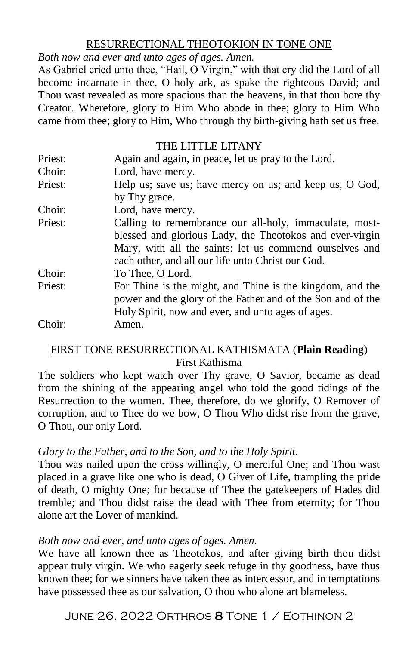## RESURRECTIONAL THEOTOKION IN TONE ONE

*Both now and ever and unto ages of ages. Amen.*

As Gabriel cried unto thee, "Hail, O Virgin," with that cry did the Lord of all become incarnate in thee, O holy ark, as spake the righteous David; and Thou wast revealed as more spacious than the heavens, in that thou bore thy Creator. Wherefore, glory to Him Who abode in thee; glory to Him Who came from thee; glory to Him, Who through thy birth-giving hath set us free.

# THE LITTLE LITANY

| Priest: | Again and again, in peace, let us pray to the Lord.         |
|---------|-------------------------------------------------------------|
| Choir:  | Lord, have mercy.                                           |
| Priest: | Help us; save us; have mercy on us; and keep us, O God,     |
|         | by Thy grace.                                               |
| Choir:  | Lord, have mercy.                                           |
| Priest: | Calling to remembrance our all-holy, immaculate, most-      |
|         | blessed and glorious Lady, the Theotokos and ever-virgin    |
|         | Mary, with all the saints: let us commend ourselves and     |
|         | each other, and all our life unto Christ our God.           |
| Choir:  | To Thee, O Lord.                                            |
| Priest: | For Thine is the might, and Thine is the kingdom, and the   |
|         | power and the glory of the Father and of the Son and of the |
|         | Holy Spirit, now and ever, and unto ages of ages.           |
| Choir:  | Amen.                                                       |

# FIRST TONE RESURRECTIONAL KATHISMATA (**Plain Reading**) First Kathisma

The soldiers who kept watch over Thy grave, O Savior, became as dead from the shining of the appearing angel who told the good tidings of the Resurrection to the women. Thee, therefore, do we glorify, O Remover of corruption, and to Thee do we bow, O Thou Who didst rise from the grave, O Thou, our only Lord.

#### *Glory to the Father, and to the Son, and to the Holy Spirit.*

Thou was nailed upon the cross willingly, O merciful One; and Thou wast placed in a grave like one who is dead, O Giver of Life, trampling the pride of death, O mighty One; for because of Thee the gatekeepers of Hades did tremble; and Thou didst raise the dead with Thee from eternity; for Thou alone art the Lover of mankind.

# *Both now and ever, and unto ages of ages. Amen.*

We have all known thee as Theotokos, and after giving birth thou didst appear truly virgin. We who eagerly seek refuge in thy goodness, have thus known thee; for we sinners have taken thee as intercessor, and in temptations have possessed thee as our salvation, O thou who alone art blameless.

June 26, 2022 Orthros 8 Tone 1 / Eothinon 2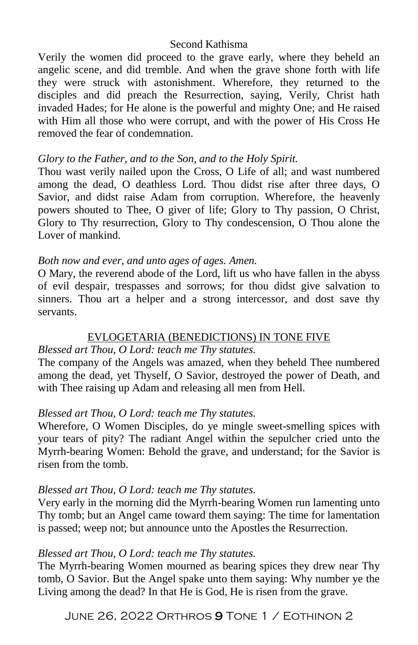#### Second Kathisma

Verily the women did proceed to the grave early, where they beheld an angelic scene, and did tremble. And when the grave shone forth with life they were struck with astonishment. Wherefore, they returned to the disciples and did preach the Resurrection, saying, Verily, Christ hath invaded Hades; for He alone is the powerful and mighty One; and He raised with Him all those who were corrupt, and with the power of His Cross He removed the fear of condemnation.

#### *Glory to the Father, and to the Son, and to the Holy Spirit.*

Thou wast verily nailed upon the Cross, O Life of all; and wast numbered among the dead, O deathless Lord. Thou didst rise after three days, O Savior, and didst raise Adam from corruption. Wherefore, the heavenly powers shouted to Thee, O giver of life; Glory to Thy passion, O Christ, Glory to Thy resurrection, Glory to Thy condescension, O Thou alone the Lover of mankind.

#### *Both now and ever, and unto ages of ages. Amen.*

O Mary, the reverend abode of the Lord, lift us who have fallen in the abyss of evil despair, trespasses and sorrows; for thou didst give salvation to sinners. Thou art a helper and a strong intercessor, and dost save thy servants.

#### EVLOGETARIA (BENEDICTIONS) IN TONE FIVE

# *Blessed art Thou, O Lord: teach me Thy statutes.*

The company of the Angels was amazed, when they beheld Thee numbered among the dead, yet Thyself, O Savior, destroyed the power of Death, and with Thee raising up Adam and releasing all men from Hell.

#### *Blessed art Thou, O Lord: teach me Thy statutes.*

Wherefore, O Women Disciples, do ye mingle sweet-smelling spices with your tears of pity? The radiant Angel within the sepulcher cried unto the Myrrh-bearing Women: Behold the grave, and understand; for the Savior is risen from the tomb.

#### *Blessed art Thou, O Lord: teach me Thy statutes.*

Very early in the morning did the Myrrh-bearing Women run lamenting unto Thy tomb; but an Angel came toward them saying: The time for lamentation is passed; weep not; but announce unto the Apostles the Resurrection.

#### *Blessed art Thou, O Lord: teach me Thy statutes.*

The Myrrh-bearing Women mourned as bearing spices they drew near Thy tomb, O Savior. But the Angel spake unto them saying: Why number ye the Living among the dead? In that He is God, He is risen from the grave.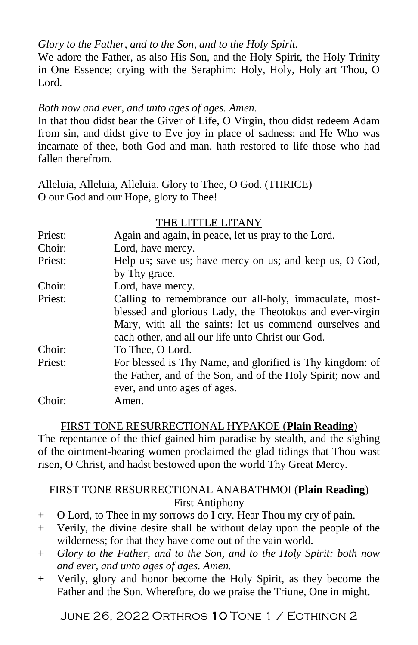*Glory to the Father, and to the Son, and to the Holy Spirit.*

We adore the Father, as also His Son, and the Holy Spirit, the Holy Trinity in One Essence; crying with the Seraphim: Holy, Holy, Holy art Thou, O Lord.

# *Both now and ever, and unto ages of ages. Amen.*

In that thou didst bear the Giver of Life, O Virgin, thou didst redeem Adam from sin, and didst give to Eve joy in place of sadness; and He Who was incarnate of thee, both God and man, hath restored to life those who had fallen therefrom.

Alleluia, Alleluia, Alleluia. Glory to Thee, O God. (THRICE) O our God and our Hope, glory to Thee!

#### THE LITTLE LITANY

| Priest: | Again and again, in peace, let us pray to the Lord.         |
|---------|-------------------------------------------------------------|
| Choir:  | Lord, have mercy.                                           |
| Priest: | Help us; save us; have mercy on us; and keep us, O God,     |
|         | by Thy grace.                                               |
| Choir:  | Lord, have mercy.                                           |
| Priest: | Calling to remembrance our all-holy, immaculate, most-      |
|         | blessed and glorious Lady, the Theotokos and ever-virgin    |
|         | Mary, with all the saints: let us commend ourselves and     |
|         | each other, and all our life unto Christ our God.           |
| Choir:  | To Thee, O Lord.                                            |
| Priest: | For blessed is Thy Name, and glorified is Thy kingdom: of   |
|         | the Father, and of the Son, and of the Holy Spirit; now and |
|         | ever, and unto ages of ages.                                |
| Choir:  | Amen.                                                       |

# FIRST TONE RESURRECTIONAL HYPAKOE (**Plain Reading**)

The repentance of the thief gained him paradise by stealth, and the sighing of the ointment-bearing women proclaimed the glad tidings that Thou wast risen, O Christ, and hadst bestowed upon the world Thy Great Mercy.

## FIRST TONE RESURRECTIONAL ANABATHMOI (**Plain Reading**) First Antiphony

- + O Lord, to Thee in my sorrows do I cry. Hear Thou my cry of pain.
- + Verily, the divine desire shall be without delay upon the people of the wilderness; for that they have come out of the vain world.
- + *Glory to the Father, and to the Son, and to the Holy Spirit: both now and ever, and unto ages of ages. Amen.*
- + Verily, glory and honor become the Holy Spirit, as they become the Father and the Son. Wherefore, do we praise the Triune, One in might.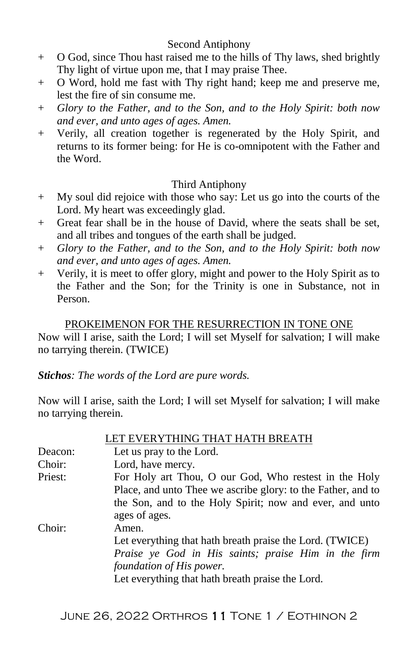Second Antiphony

- + O God, since Thou hast raised me to the hills of Thy laws, shed brightly Thy light of virtue upon me, that I may praise Thee.
- + O Word, hold me fast with Thy right hand; keep me and preserve me, lest the fire of sin consume me.
- + *Glory to the Father, and to the Son, and to the Holy Spirit: both now and ever, and unto ages of ages. Amen.*
- + Verily, all creation together is regenerated by the Holy Spirit, and returns to its former being: for He is co-omnipotent with the Father and the Word.

# Third Antiphony

- + My soul did rejoice with those who say: Let us go into the courts of the Lord. My heart was exceedingly glad.
- + Great fear shall be in the house of David, where the seats shall be set, and all tribes and tongues of the earth shall be judged.
- + *Glory to the Father, and to the Son, and to the Holy Spirit: both now and ever, and unto ages of ages. Amen.*
- + Verily, it is meet to offer glory, might and power to the Holy Spirit as to the Father and the Son; for the Trinity is one in Substance, not in Person.

PROKEIMENON FOR THE RESURRECTION IN TONE ONE

Now will I arise, saith the Lord; I will set Myself for salvation; I will make no tarrying therein. (TWICE)

*Stichos: The words of the Lord are pure words.*

Now will I arise, saith the Lord; I will set Myself for salvation; I will make no tarrying therein.

|         | LET EVERYTHING THAT HATH BREATH                              |
|---------|--------------------------------------------------------------|
| Deacon: | Let us pray to the Lord.                                     |
| Choir:  | Lord, have mercy.                                            |
| Priest: | For Holy art Thou, O our God, Who restest in the Holy        |
|         | Place, and unto Thee we ascribe glory: to the Father, and to |
|         | the Son, and to the Holy Spirit; now and ever, and unto      |
|         | ages of ages.                                                |
| Choir:  | Amen.                                                        |
|         | Let everything that hath breath praise the Lord. (TWICE)     |
|         | Praise ye God in His saints; praise Him in the firm          |
|         | foundation of His power.                                     |
|         | Let everything that hath breath praise the Lord.             |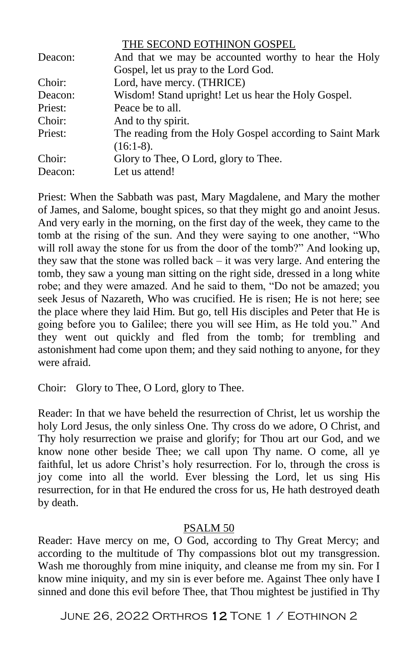#### THE SECOND EOTHINON GOSPEL

| Deacon: | And that we may be accounted worthy to hear the Holy     |
|---------|----------------------------------------------------------|
|         | Gospel, let us pray to the Lord God.                     |
| Choir:  | Lord, have mercy. (THRICE)                               |
| Deacon: | Wisdom! Stand upright! Let us hear the Holy Gospel.      |
| Priest: | Peace be to all.                                         |
| Choir:  | And to thy spirit.                                       |
| Priest: | The reading from the Holy Gospel according to Saint Mark |
|         | $(16:1-8).$                                              |
| Choir:  | Glory to Thee, O Lord, glory to Thee.                    |
| Deacon: | Let us attend!                                           |

Priest: When the Sabbath was past, Mary Magdalene, and Mary the mother of James, and Salome, bought spices, so that they might go and anoint Jesus. And very early in the morning, on the first day of the week, they came to the tomb at the rising of the sun. And they were saying to one another, "Who will roll away the stone for us from the door of the tomb?" And looking up, they saw that the stone was rolled back – it was very large. And entering the tomb, they saw a young man sitting on the right side, dressed in a long white robe; and they were amazed. And he said to them, "Do not be amazed; you seek Jesus of Nazareth, Who was crucified. He is risen; He is not here; see the place where they laid Him. But go, tell His disciples and Peter that He is going before you to Galilee; there you will see Him, as He told you." And they went out quickly and fled from the tomb; for trembling and astonishment had come upon them; and they said nothing to anyone, for they were afraid.

Choir: Glory to Thee, O Lord, glory to Thee.

Reader: In that we have beheld the resurrection of Christ, let us worship the holy Lord Jesus, the only sinless One. Thy cross do we adore, O Christ, and Thy holy resurrection we praise and glorify; for Thou art our God, and we know none other beside Thee; we call upon Thy name. O come, all ye faithful, let us adore Christ's holy resurrection. For lo, through the cross is joy come into all the world. Ever blessing the Lord, let us sing His resurrection, for in that He endured the cross for us, He hath destroyed death by death.

# PSALM 50

Reader: Have mercy on me, O God, according to Thy Great Mercy; and according to the multitude of Thy compassions blot out my transgression. Wash me thoroughly from mine iniquity, and cleanse me from my sin. For I know mine iniquity, and my sin is ever before me. Against Thee only have I sinned and done this evil before Thee, that Thou mightest be justified in Thy

June 26, 2022 Orthros 12 Tone 1 / Eothinon 2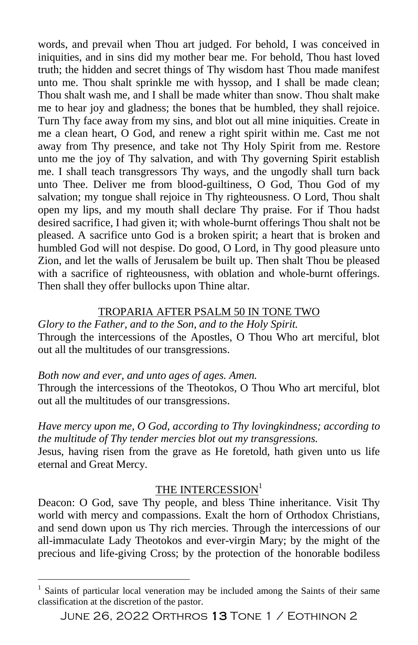words, and prevail when Thou art judged. For behold, I was conceived in iniquities, and in sins did my mother bear me. For behold, Thou hast loved truth; the hidden and secret things of Thy wisdom hast Thou made manifest unto me. Thou shalt sprinkle me with hyssop, and I shall be made clean; Thou shalt wash me, and I shall be made whiter than snow. Thou shalt make me to hear joy and gladness; the bones that be humbled, they shall rejoice. Turn Thy face away from my sins, and blot out all mine iniquities. Create in me a clean heart, O God, and renew a right spirit within me. Cast me not away from Thy presence, and take not Thy Holy Spirit from me. Restore unto me the joy of Thy salvation, and with Thy governing Spirit establish me. I shall teach transgressors Thy ways, and the ungodly shall turn back unto Thee. Deliver me from blood-guiltiness, O God, Thou God of my salvation; my tongue shall rejoice in Thy righteousness. O Lord, Thou shalt open my lips, and my mouth shall declare Thy praise. For if Thou hadst desired sacrifice, I had given it; with whole-burnt offerings Thou shalt not be pleased. A sacrifice unto God is a broken spirit; a heart that is broken and humbled God will not despise. Do good, O Lord, in Thy good pleasure unto Zion, and let the walls of Jerusalem be built up. Then shalt Thou be pleased with a sacrifice of righteousness, with oblation and whole-burnt offerings. Then shall they offer bullocks upon Thine altar.

## TROPARIA AFTER PSALM 50 IN TONE TWO

*Glory to the Father, and to the Son, and to the Holy Spirit.* Through the intercessions of the Apostles, O Thou Who art merciful, blot out all the multitudes of our transgressions.

#### *Both now and ever, and unto ages of ages. Amen.*

Through the intercessions of the Theotokos, O Thou Who art merciful, blot out all the multitudes of our transgressions.

*Have mercy upon me, O God, according to Thy lovingkindness; according to the multitude of Thy tender mercies blot out my transgressions.*

Jesus, having risen from the grave as He foretold, hath given unto us life eternal and Great Mercy.

# THE INTERCESSION<sup>1</sup>

Deacon: O God, save Thy people, and bless Thine inheritance. Visit Thy world with mercy and compassions. Exalt the horn of Orthodox Christians, and send down upon us Thy rich mercies. Through the intercessions of our all-immaculate Lady Theotokos and ever-virgin Mary; by the might of the precious and life-giving Cross; by the protection of the honorable bodiless

 1 Saints of particular local veneration may be included among the Saints of their same classification at the discretion of the pastor.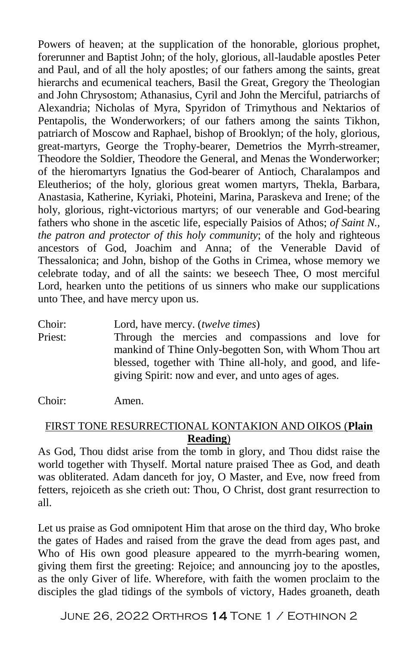Powers of heaven; at the supplication of the honorable, glorious prophet, forerunner and Baptist John; of the holy, glorious, all-laudable apostles Peter and Paul, and of all the holy apostles; of our fathers among the saints, great hierarchs and ecumenical teachers, Basil the Great, Gregory the Theologian and John Chrysostom; Athanasius, Cyril and John the Merciful, patriarchs of Alexandria; Nicholas of Myra, Spyridon of Trimythous and Nektarios of Pentapolis, the Wonderworkers; of our fathers among the saints Tikhon, patriarch of Moscow and Raphael, bishop of Brooklyn; of the holy, glorious, great-martyrs, George the Trophy-bearer, Demetrios the Myrrh-streamer, Theodore the Soldier, Theodore the General, and Menas the Wonderworker; of the hieromartyrs Ignatius the God-bearer of Antioch, Charalampos and Eleutherios; of the holy, glorious great women martyrs, Thekla, Barbara, Anastasia, Katherine, Kyriaki, Photeini, Marina, Paraskeva and Irene; of the holy, glorious, right-victorious martyrs; of our venerable and God-bearing fathers who shone in the ascetic life, especially Paisios of Athos; *of Saint N., the patron and protector of this holy community*; of the holy and righteous ancestors of God, Joachim and Anna; of the Venerable David of Thessalonica; and John, bishop of the Goths in Crimea, whose memory we celebrate today, and of all the saints: we beseech Thee, O most merciful Lord, hearken unto the petitions of us sinners who make our supplications unto Thee, and have mercy upon us.

Choir: Lord, have mercy. (*twelve times*) Priest: Through the mercies and compassions and love for mankind of Thine Only-begotten Son, with Whom Thou art blessed, together with Thine all-holy, and good, and life-

Choir: Amen.

#### FIRST TONE RESURRECTIONAL KONTAKION AND OIKOS (**Plain Reading**)

giving Spirit: now and ever, and unto ages of ages.

As God, Thou didst arise from the tomb in glory, and Thou didst raise the world together with Thyself. Mortal nature praised Thee as God, and death was obliterated. Adam danceth for joy, O Master, and Eve, now freed from fetters, rejoiceth as she crieth out: Thou, O Christ, dost grant resurrection to all.

Let us praise as God omnipotent Him that arose on the third day, Who broke the gates of Hades and raised from the grave the dead from ages past, and Who of His own good pleasure appeared to the myrrh-bearing women, giving them first the greeting: Rejoice; and announcing joy to the apostles, as the only Giver of life. Wherefore, with faith the women proclaim to the disciples the glad tidings of the symbols of victory, Hades groaneth, death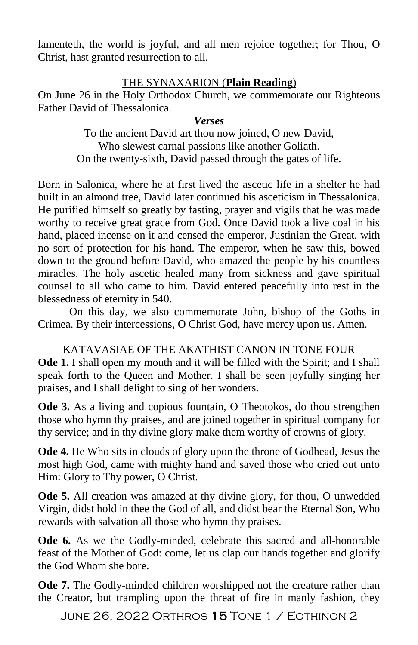lamenteth, the world is joyful, and all men rejoice together; for Thou, O Christ, hast granted resurrection to all.

# THE SYNAXARION (**Plain Reading**)

On June 26 in the Holy Orthodox Church, we commemorate our Righteous Father David of Thessalonica.

#### *Verses*

To the ancient David art thou now joined, O new David, Who slewest carnal passions like another Goliath. On the twenty-sixth, David passed through the gates of life.

Born in Salonica, where he at first lived the ascetic life in a shelter he had built in an almond tree, David later continued his asceticism in Thessalonica. He purified himself so greatly by fasting, prayer and vigils that he was made worthy to receive great grace from God. Once David took a live coal in his hand, placed incense on it and censed the emperor, Justinian the Great, with no sort of protection for his hand. The emperor, when he saw this, bowed down to the ground before David, who amazed the people by his countless miracles. The holy ascetic healed many from sickness and gave spiritual counsel to all who came to him. David entered peacefully into rest in the blessedness of eternity in 540.

On this day, we also commemorate John, bishop of the Goths in Crimea. By their intercessions, O Christ God, have mercy upon us. Amen.

# KATAVASIAE OF THE AKATHIST CANON IN TONE FOUR

**Ode 1.** I shall open my mouth and it will be filled with the Spirit; and I shall speak forth to the Queen and Mother. I shall be seen joyfully singing her praises, and I shall delight to sing of her wonders.

**Ode 3.** As a living and copious fountain, O Theotokos, do thou strengthen those who hymn thy praises, and are joined together in spiritual company for thy service; and in thy divine glory make them worthy of crowns of glory.

**Ode 4.** He Who sits in clouds of glory upon the throne of Godhead, Jesus the most high God, came with mighty hand and saved those who cried out unto Him: Glory to Thy power, O Christ.

**Ode 5.** All creation was amazed at thy divine glory, for thou, O unwedded Virgin, didst hold in thee the God of all, and didst bear the Eternal Son, Who rewards with salvation all those who hymn thy praises.

**Ode 6.** As we the Godly-minded, celebrate this sacred and all-honorable feast of the Mother of God: come, let us clap our hands together and glorify the God Whom she bore.

**Ode 7.** The Godly-minded children worshipped not the creature rather than the Creator, but trampling upon the threat of fire in manly fashion, they

June 26, 2022 Orthros 15 Tone 1 / Eothinon 2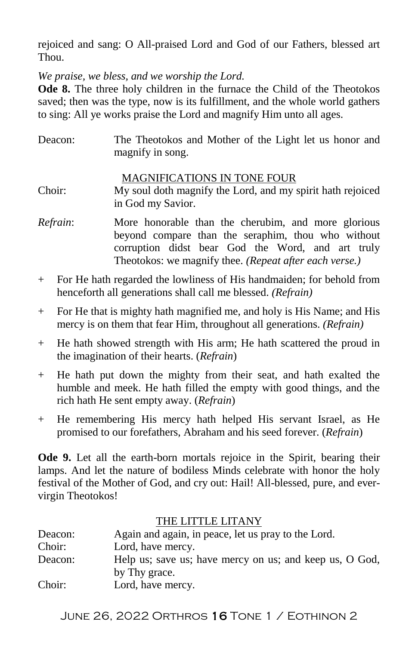rejoiced and sang: O All-praised Lord and God of our Fathers, blessed art Thou.

# *We praise, we bless, and we worship the Lord.*

**Ode 8.** The three holy children in the furnace the Child of the Theotokos saved; then was the type, now is its fulfillment, and the whole world gathers to sing: All ye works praise the Lord and magnify Him unto all ages.

| Deacon:  | The Theotokos and Mother of the Light let us honor and<br>magnify in song.                                                                                                                                               |
|----------|--------------------------------------------------------------------------------------------------------------------------------------------------------------------------------------------------------------------------|
| Choir:   | <b>MAGNIFICATIONS IN TONE FOUR</b><br>My soul doth magnify the Lord, and my spirit hath rejoiced<br>in God my Savior.                                                                                                    |
| Refrain: | More honorable than the cherubim, and more glorious<br>beyond compare than the seraphim, thou who without<br>corruption didst bear God the Word, and art truly<br>Theotokos: we magnify thee. (Repeat after each verse.) |

- + For He hath regarded the lowliness of His handmaiden; for behold from henceforth all generations shall call me blessed. *(Refrain)*
- + For He that is mighty hath magnified me, and holy is His Name; and His mercy is on them that fear Him, throughout all generations. *(Refrain)*
- + He hath showed strength with His arm; He hath scattered the proud in the imagination of their hearts. (*Refrain*)
- + He hath put down the mighty from their seat, and hath exalted the humble and meek. He hath filled the empty with good things, and the rich hath He sent empty away. (*Refrain*)
- + He remembering His mercy hath helped His servant Israel, as He promised to our forefathers, Abraham and his seed forever. (*Refrain*)

**Ode 9.** Let all the earth-born mortals rejoice in the Spirit, bearing their lamps. And let the nature of bodiless Minds celebrate with honor the holy festival of the Mother of God, and cry out: Hail! All-blessed, pure, and evervirgin Theotokos!

# THE LITTLE LITANY

| Deacon: | Again and again, in peace, let us pray to the Lord.     |
|---------|---------------------------------------------------------|
| Choir:  | Lord, have mercy.                                       |
| Deacon: | Help us; save us; have mercy on us; and keep us, O God, |
|         | by Thy grace.                                           |
| Choir:  | Lord, have mercy.                                       |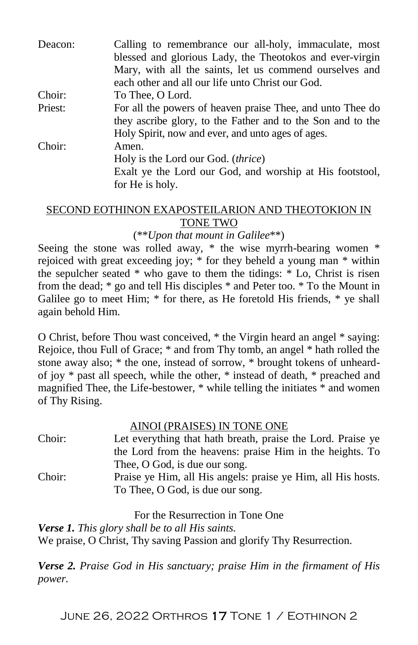| Deacon: | Calling to remembrance our all-holy, immaculate, most       |
|---------|-------------------------------------------------------------|
|         | blessed and glorious Lady, the Theotokos and ever-virgin    |
|         | Mary, with all the saints, let us commend ourselves and     |
|         | each other and all our life unto Christ our God.            |
| Choir:  | To Thee, O Lord.                                            |
| Priest: | For all the powers of heaven praise Thee, and unto Thee do  |
|         | they ascribe glory, to the Father and to the Son and to the |
|         | Holy Spirit, now and ever, and unto ages of ages.           |
| Choir:  | Amen.                                                       |
|         | Holy is the Lord our God. <i>(thrice)</i>                   |
|         | Exalt ye the Lord our God, and worship at His footstool,    |
|         | for He is holy.                                             |
|         |                                                             |

## SECOND EOTHINON EXAPOSTEILARION AND THEOTOKION IN TONE TWO

## (\*\**Upon that mount in Galilee*\*\*)

Seeing the stone was rolled away, \* the wise myrrh-bearing women \* rejoiced with great exceeding joy; \* for they beheld a young man \* within the sepulcher seated \* who gave to them the tidings: \* Lo, Christ is risen from the dead; \* go and tell His disciples \* and Peter too. \* To the Mount in Galilee go to meet Him; \* for there, as He foretold His friends, \* ye shall again behold Him.

O Christ, before Thou wast conceived, \* the Virgin heard an angel \* saying: Rejoice, thou Full of Grace; \* and from Thy tomb, an angel \* hath rolled the stone away also; \* the one, instead of sorrow, \* brought tokens of unheardof joy \* past all speech, while the other, \* instead of death, \* preached and magnified Thee, the Life-bestower, \* while telling the initiates \* and women of Thy Rising.

# AINOI (PRAISES) IN TONE ONE

| Choir: | Let everything that hath breath, praise the Lord. Praise ye  |
|--------|--------------------------------------------------------------|
|        | the Lord from the heavens: praise Him in the heights. To     |
|        | Thee, O God, is due our song.                                |
| Choir: | Praise ye Him, all His angels: praise ye Him, all His hosts. |
|        | To Thee, O God, is due our song.                             |

For the Resurrection in Tone One

*Verse 1. This glory shall be to all His saints.* We praise, O Christ, Thy saving Passion and glorify Thy Resurrection.

*Verse 2. Praise God in His sanctuary; praise Him in the firmament of His power.*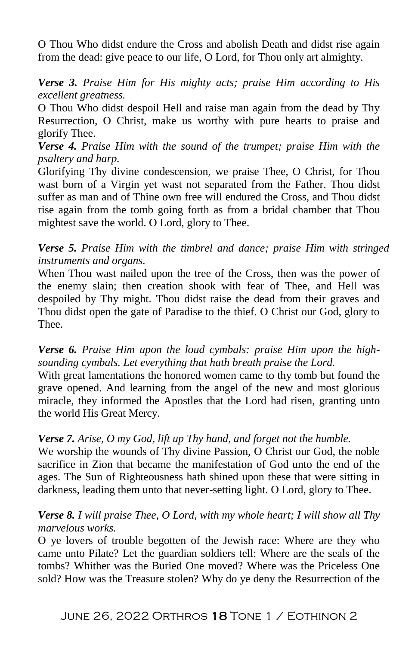O Thou Who didst endure the Cross and abolish Death and didst rise again from the dead: give peace to our life, O Lord, for Thou only art almighty.

*Verse 3. Praise Him for His mighty acts; praise Him according to His excellent greatness.*

O Thou Who didst despoil Hell and raise man again from the dead by Thy Resurrection, O Christ, make us worthy with pure hearts to praise and glorify Thee.

*Verse 4. Praise Him with the sound of the trumpet; praise Him with the psaltery and harp.*

Glorifying Thy divine condescension, we praise Thee, O Christ, for Thou wast born of a Virgin yet wast not separated from the Father. Thou didst suffer as man and of Thine own free will endured the Cross, and Thou didst rise again from the tomb going forth as from a bridal chamber that Thou mightest save the world. O Lord, glory to Thee.

*Verse 5. Praise Him with the timbrel and dance; praise Him with stringed instruments and organs.*

When Thou wast nailed upon the tree of the Cross, then was the power of the enemy slain; then creation shook with fear of Thee, and Hell was despoiled by Thy might. Thou didst raise the dead from their graves and Thou didst open the gate of Paradise to the thief. O Christ our God, glory to Thee.

*Verse 6. Praise Him upon the loud cymbals: praise Him upon the highsounding cymbals. Let everything that hath breath praise the Lord.*

With great lamentations the honored women came to thy tomb but found the grave opened. And learning from the angel of the new and most glorious miracle, they informed the Apostles that the Lord had risen, granting unto the world His Great Mercy.

#### *Verse 7. Arise, O my God, lift up Thy hand, and forget not the humble.*

We worship the wounds of Thy divine Passion, O Christ our God, the noble sacrifice in Zion that became the manifestation of God unto the end of the ages. The Sun of Righteousness hath shined upon these that were sitting in darkness, leading them unto that never-setting light. O Lord, glory to Thee.

## *Verse 8. I will praise Thee, O Lord, with my whole heart; I will show all Thy marvelous works.*

O ye lovers of trouble begotten of the Jewish race: Where are they who came unto Pilate? Let the guardian soldiers tell: Where are the seals of the tombs? Whither was the Buried One moved? Where was the Priceless One sold? How was the Treasure stolen? Why do ye deny the Resurrection of the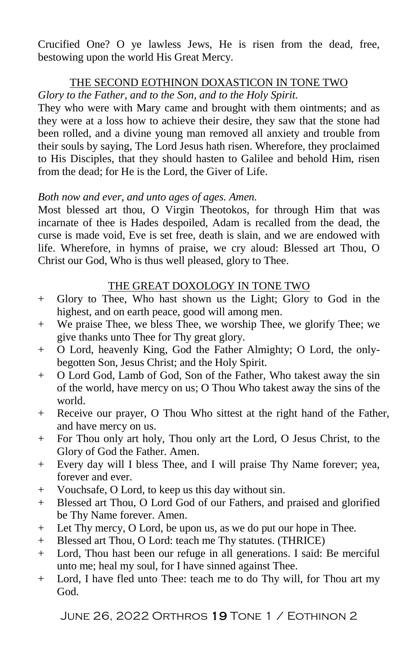Crucified One? O ye lawless Jews, He is risen from the dead, free, bestowing upon the world His Great Mercy.

# THE SECOND EOTHINON DOXASTICON IN TONE TWO

*Glory to the Father, and to the Son, and to the Holy Spirit.*

They who were with Mary came and brought with them ointments; and as they were at a loss how to achieve their desire, they saw that the stone had been rolled, and a divine young man removed all anxiety and trouble from their souls by saying, The Lord Jesus hath risen. Wherefore, they proclaimed to His Disciples, that they should hasten to Galilee and behold Him, risen from the dead; for He is the Lord, the Giver of Life.

# *Both now and ever, and unto ages of ages. Amen.*

Most blessed art thou, O Virgin Theotokos, for through Him that was incarnate of thee is Hades despoiled, Adam is recalled from the dead, the curse is made void, Eve is set free, death is slain, and we are endowed with life. Wherefore, in hymns of praise, we cry aloud: Blessed art Thou, O Christ our God, Who is thus well pleased, glory to Thee.

# THE GREAT DOXOLOGY IN TONE TWO

- + Glory to Thee, Who hast shown us the Light; Glory to God in the highest, and on earth peace, good will among men.
- + We praise Thee, we bless Thee, we worship Thee, we glorify Thee; we give thanks unto Thee for Thy great glory.
- + O Lord, heavenly King, God the Father Almighty; O Lord, the onlybegotten Son, Jesus Christ; and the Holy Spirit.
- + O Lord God, Lamb of God, Son of the Father, Who takest away the sin of the world, have mercy on us; O Thou Who takest away the sins of the world.
- + Receive our prayer, O Thou Who sittest at the right hand of the Father, and have mercy on us.
- + For Thou only art holy, Thou only art the Lord, O Jesus Christ, to the Glory of God the Father. Amen.
- + Every day will I bless Thee, and I will praise Thy Name forever; yea, forever and ever.
- + Vouchsafe, O Lord, to keep us this day without sin.
- + Blessed art Thou, O Lord God of our Fathers, and praised and glorified be Thy Name forever. Amen.
- + Let Thy mercy, O Lord, be upon us, as we do put our hope in Thee.
- + Blessed art Thou, O Lord: teach me Thy statutes. (THRICE)
- + Lord, Thou hast been our refuge in all generations. I said: Be merciful unto me; heal my soul, for I have sinned against Thee.
- + Lord, I have fled unto Thee: teach me to do Thy will, for Thou art my God.